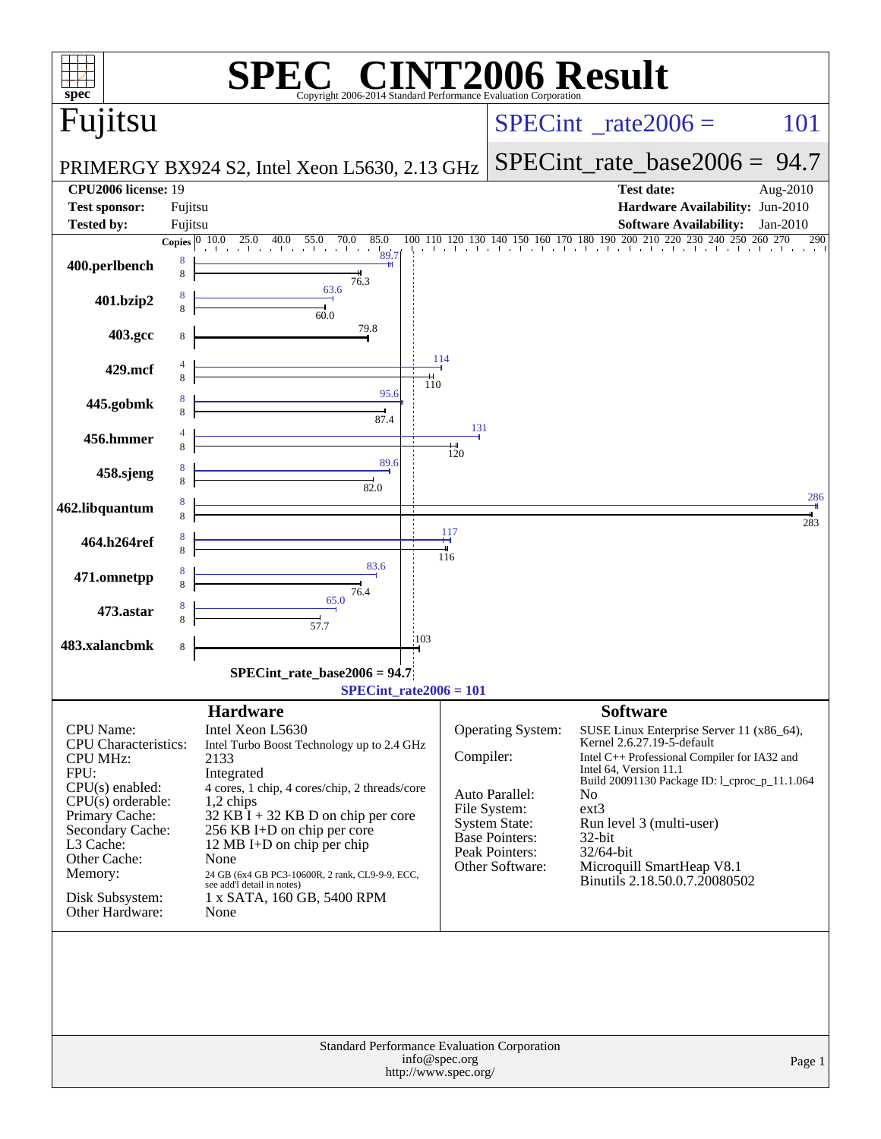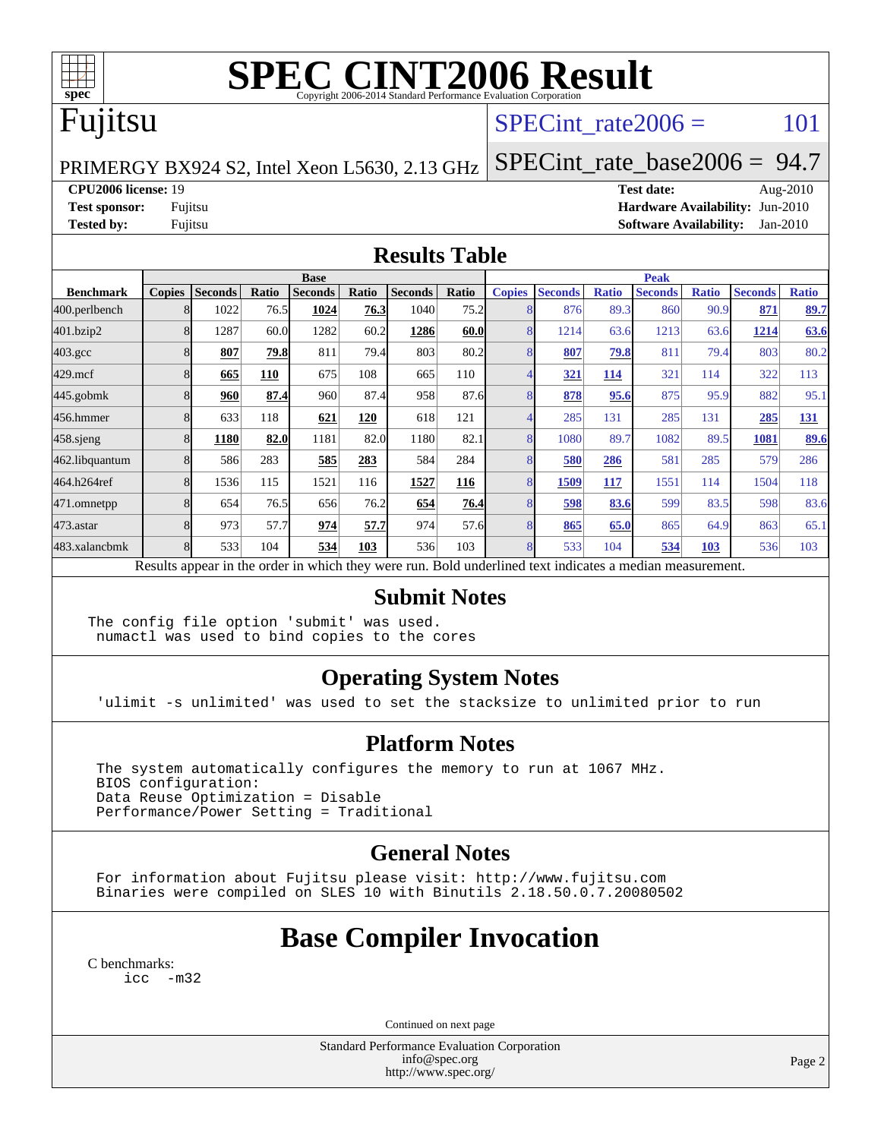

# **[SPEC CINT2006 Result](http://www.spec.org/auto/cpu2006/Docs/result-fields.html#SPECCINT2006Result)**

# Fujitsu

### SPECint rate $2006 = 101$

PRIMERGY BX924 S2, Intel Xeon L5630, 2.13 GHz

[SPECint\\_rate\\_base2006 =](http://www.spec.org/auto/cpu2006/Docs/result-fields.html#SPECintratebase2006) 94.7

#### **[CPU2006 license:](http://www.spec.org/auto/cpu2006/Docs/result-fields.html#CPU2006license)** 19 **[Test date:](http://www.spec.org/auto/cpu2006/Docs/result-fields.html#Testdate)** Aug-2010

**[Test sponsor:](http://www.spec.org/auto/cpu2006/Docs/result-fields.html#Testsponsor)** Fujitsu **[Hardware Availability:](http://www.spec.org/auto/cpu2006/Docs/result-fields.html#HardwareAvailability)** Jun-2010 **[Tested by:](http://www.spec.org/auto/cpu2006/Docs/result-fields.html#Testedby)** Fujitsu **[Software Availability:](http://www.spec.org/auto/cpu2006/Docs/result-fields.html#SoftwareAvailability)** Jan-2010

#### **[Results Table](http://www.spec.org/auto/cpu2006/Docs/result-fields.html#ResultsTable)**

|                    | <b>Base</b> |                |       |                                                                                                          |       |                |       | <b>Peak</b>   |                |              |                |              |                |              |
|--------------------|-------------|----------------|-------|----------------------------------------------------------------------------------------------------------|-------|----------------|-------|---------------|----------------|--------------|----------------|--------------|----------------|--------------|
| <b>Benchmark</b>   |             | Copies Seconds | Ratio | <b>Seconds</b>                                                                                           | Ratio | <b>Seconds</b> | Ratio | <b>Copies</b> | <b>Seconds</b> | <b>Ratio</b> | <b>Seconds</b> | <b>Ratio</b> | <b>Seconds</b> | <b>Ratio</b> |
| 400.perlbench      |             | 1022           | 76.5  | 1024                                                                                                     | 76.3  | 1040           | 75.2  |               | 876            | 89.3         | 860            | 90.9         | 871            | 89.7         |
| 401.bzip2          |             | 1287           | 60.0  | 1282                                                                                                     | 60.2  | 1286           | 60.0  | 8             | 1214           | 63.6         | 1213           | 63.6         | 1214           | 63.6         |
| $403.\mathrm{gcc}$ |             | 807            | 79.8  | 811                                                                                                      | 79.4  | 803            | 80.2  |               | 807            | 79.8         | 811            | 79.4         | 803            | 80.2         |
| $429$ .mcf         |             | 665            | 110   | 675                                                                                                      | 108   | 665            | 110   |               | <u>321</u>     | 114          | 321            | 114          | 322            | 113          |
| $445$ .gobmk       |             | 960            | 87.4  | 960                                                                                                      | 87.4  | 958            | 87.6  |               | 878            | 95.6         | 875            | 95.9         | 882            | 95.1         |
| 456.hmmer          |             | 633            | 118   | 621                                                                                                      | 120   | 618            | 121   |               | 285            | 131          | 285            | 131          | 285            | 131          |
| $458$ .sjeng       |             | 1180           | 82.0  | 1181                                                                                                     | 82.0  | 1180           | 82.1  |               | 1080           | 89.7         | 1082           | 89.5         | 1081           | 89.6         |
| 462.libquantum     |             | 586            | 283   | 585                                                                                                      | 283   | 584            | 284   |               | 580            | 286          | 581            | 285          | 579            | 286          |
| 464.h264ref        |             | 1536           | 115   | 1521                                                                                                     | 116   | 1527           | 116   |               | 1509           | 117          | 1551           | 114          | 1504           | 118          |
| 471.omnetpp        |             | 654            | 76.5  | 656                                                                                                      | 76.2  | 654            | 76.4  |               | 598            | 83.6         | 599            | 83.5         | 598            | 83.6         |
| 473.astar          |             | 973            | 57.7  | 974                                                                                                      | 57.7  | 974            | 57.6  |               | 865            | 65.0         | 865            | 64.9         | 863            | 65.1         |
| 483.xalancbmk      |             | 533            | 104   | 534                                                                                                      | 103   | 536            | 103   |               | 533            | 104          | 534            | 103          | 536            | 103          |
|                    |             |                |       | Results appear in the order in which they were run. Bold underlined text indicates a median measurement. |       |                |       |               |                |              |                |              |                |              |

### **[Submit Notes](http://www.spec.org/auto/cpu2006/Docs/result-fields.html#SubmitNotes)**

The config file option 'submit' was used. numactl was used to bind copies to the cores

### **[Operating System Notes](http://www.spec.org/auto/cpu2006/Docs/result-fields.html#OperatingSystemNotes)**

'ulimit -s unlimited' was used to set the stacksize to unlimited prior to run

### **[Platform Notes](http://www.spec.org/auto/cpu2006/Docs/result-fields.html#PlatformNotes)**

 The system automatically configures the memory to run at 1067 MHz. BIOS configuration: Data Reuse Optimization = Disable Performance/Power Setting = Traditional

### **[General Notes](http://www.spec.org/auto/cpu2006/Docs/result-fields.html#GeneralNotes)**

 For information about Fujitsu please visit: <http://www.fujitsu.com> Binaries were compiled on SLES 10 with Binutils 2.18.50.0.7.20080502

# **[Base Compiler Invocation](http://www.spec.org/auto/cpu2006/Docs/result-fields.html#BaseCompilerInvocation)**

| C benchmarks: |        |
|---------------|--------|
| 1 C C         | $-m32$ |

Continued on next page

Standard Performance Evaluation Corporation [info@spec.org](mailto:info@spec.org) <http://www.spec.org/>

Page 2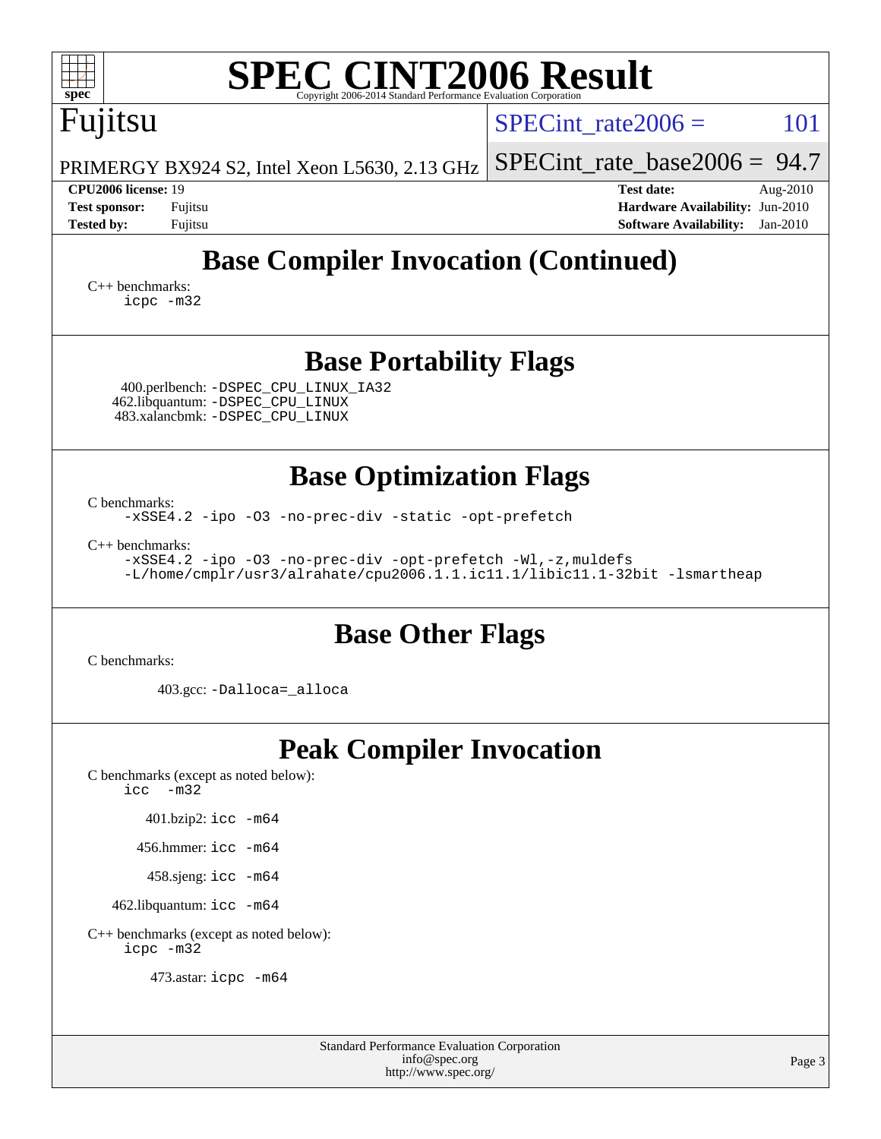| <b>SPEC CINT2006 Result</b><br>$spec^*$<br>Copyright 2006-2014 Standard Performance Evaluation Corporation                                                                                                                                                                    |                                                                                                                    |  |  |  |  |  |
|-------------------------------------------------------------------------------------------------------------------------------------------------------------------------------------------------------------------------------------------------------------------------------|--------------------------------------------------------------------------------------------------------------------|--|--|--|--|--|
| Fujitsu                                                                                                                                                                                                                                                                       | 101<br>$SPECint$ rate $2006 =$                                                                                     |  |  |  |  |  |
| PRIMERGY BX924 S2, Intel Xeon L5630, 2.13 GHz                                                                                                                                                                                                                                 | $SPECint_rate_base2006 = 94.7$                                                                                     |  |  |  |  |  |
| <b>CPU2006 license: 19</b><br><b>Test sponsor:</b><br>Fujitsu<br><b>Tested by:</b><br>Fujitsu                                                                                                                                                                                 | <b>Test date:</b><br>Aug- $2010$<br>Hardware Availability: Jun-2010<br><b>Software Availability:</b><br>$Jan-2010$ |  |  |  |  |  |
| <b>Base Compiler Invocation (Continued)</b><br>$C_{++}$ benchmarks:<br>icpc -m32                                                                                                                                                                                              |                                                                                                                    |  |  |  |  |  |
| <b>Base Portability Flags</b><br>400.perlbench: -DSPEC_CPU_LINUX_IA32<br>462.libquantum: - DSPEC_CPU_LINUX<br>483.xalancbmk: - DSPEC_CPU_LINUX                                                                                                                                |                                                                                                                    |  |  |  |  |  |
| <b>Base Optimization Flags</b><br>C benchmarks:<br>-xSSE4.2 -ipo -03 -no-prec-div -static -opt-prefetch<br>$C_{++}$ benchmarks:<br>-xSSE4.2 -ipo -03 -no-prec-div -opt-prefetch -Wl,-z, muldefs<br>-L/home/cmplr/usr3/alrahate/cpu2006.1.1.ic11.1/libic11.1-32bit -lsmartheap |                                                                                                                    |  |  |  |  |  |
| <b>Base Other Flags</b><br>C benchmarks:<br>403.gcc: -Dalloca=_alloca                                                                                                                                                                                                         |                                                                                                                    |  |  |  |  |  |
| <b>Peak Compiler Invocation</b><br>C benchmarks (except as noted below):<br>$\text{icc}$ -m32<br>401.bzip2: icc -m64<br>456.hmmer: icc -m64<br>458.sjeng: icc -m64<br>462.libquantum: icc -m64<br>C++ benchmarks (except as noted below):<br>icpc -m32                        |                                                                                                                    |  |  |  |  |  |

473.astar: [icpc -m64](http://www.spec.org/cpu2006/results/res2010q3/cpu2006-20100813-12896.flags.html#user_peakCXXLD473_astar_intel_icpc_64bit_fc66a5337ce925472a5c54ad6a0de310)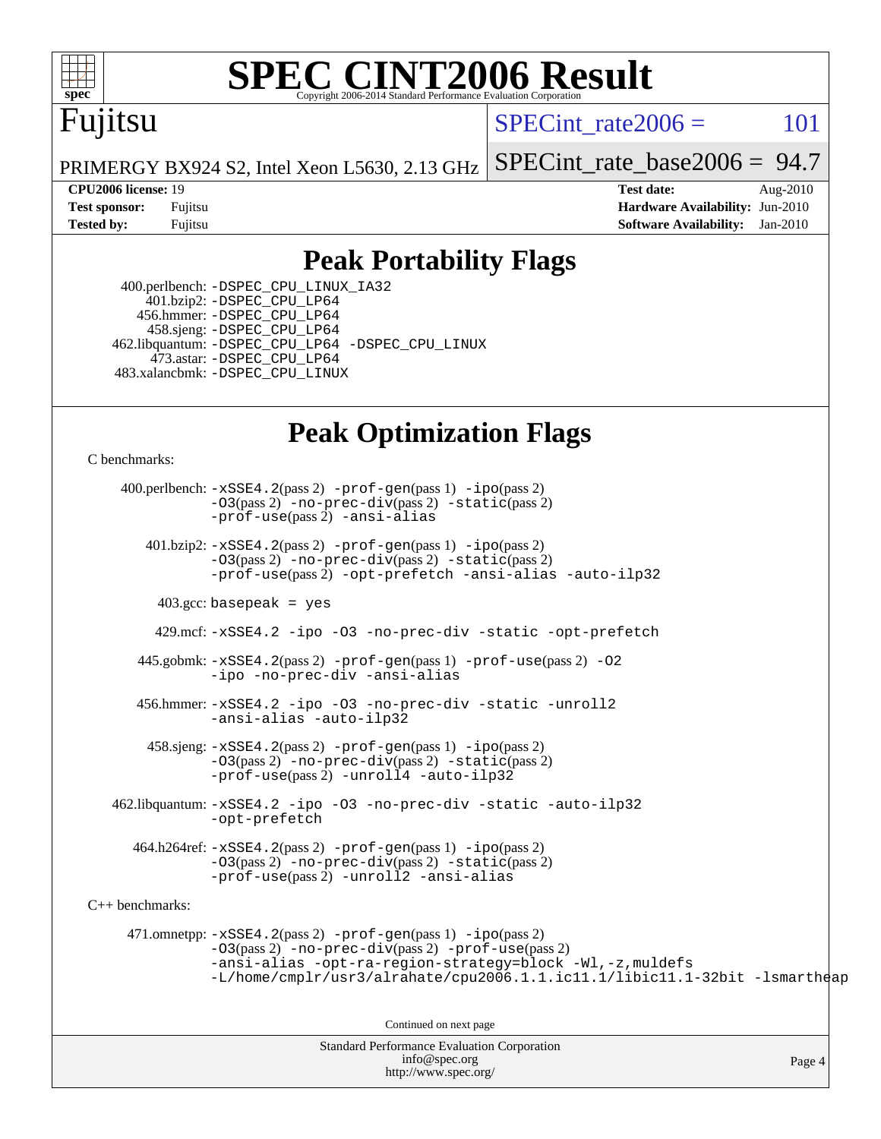

# **[SPEC CINT2006 Result](http://www.spec.org/auto/cpu2006/Docs/result-fields.html#SPECCINT2006Result)**

# Fujitsu

SPECint rate $2006 = 101$ 

PRIMERGY BX924 S2, Intel Xeon L5630, 2.13 GHz [SPECint\\_rate\\_base2006 =](http://www.spec.org/auto/cpu2006/Docs/result-fields.html#SPECintratebase2006) 94.7

**[CPU2006 license:](http://www.spec.org/auto/cpu2006/Docs/result-fields.html#CPU2006license)** 19 **[Test date:](http://www.spec.org/auto/cpu2006/Docs/result-fields.html#Testdate)** Aug-2010 **[Test sponsor:](http://www.spec.org/auto/cpu2006/Docs/result-fields.html#Testsponsor)** Fujitsu **[Hardware Availability:](http://www.spec.org/auto/cpu2006/Docs/result-fields.html#HardwareAvailability)** Jun-2010 **[Tested by:](http://www.spec.org/auto/cpu2006/Docs/result-fields.html#Testedby)** Fujitsu **[Software Availability:](http://www.spec.org/auto/cpu2006/Docs/result-fields.html#SoftwareAvailability)** Jan-2010

### **[Peak Portability Flags](http://www.spec.org/auto/cpu2006/Docs/result-fields.html#PeakPortabilityFlags)**

 400.perlbench: [-DSPEC\\_CPU\\_LINUX\\_IA32](http://www.spec.org/cpu2006/results/res2010q3/cpu2006-20100813-12896.flags.html#b400.perlbench_peakCPORTABILITY_DSPEC_CPU_LINUX_IA32) 401.bzip2: [-DSPEC\\_CPU\\_LP64](http://www.spec.org/cpu2006/results/res2010q3/cpu2006-20100813-12896.flags.html#suite_peakCPORTABILITY401_bzip2_DSPEC_CPU_LP64) 456.hmmer: [-DSPEC\\_CPU\\_LP64](http://www.spec.org/cpu2006/results/res2010q3/cpu2006-20100813-12896.flags.html#suite_peakCPORTABILITY456_hmmer_DSPEC_CPU_LP64) 458.sjeng: [-DSPEC\\_CPU\\_LP64](http://www.spec.org/cpu2006/results/res2010q3/cpu2006-20100813-12896.flags.html#suite_peakCPORTABILITY458_sjeng_DSPEC_CPU_LP64) 462.libquantum: [-DSPEC\\_CPU\\_LP64](http://www.spec.org/cpu2006/results/res2010q3/cpu2006-20100813-12896.flags.html#suite_peakCPORTABILITY462_libquantum_DSPEC_CPU_LP64) [-DSPEC\\_CPU\\_LINUX](http://www.spec.org/cpu2006/results/res2010q3/cpu2006-20100813-12896.flags.html#b462.libquantum_peakCPORTABILITY_DSPEC_CPU_LINUX) 473.astar: [-DSPEC\\_CPU\\_LP64](http://www.spec.org/cpu2006/results/res2010q3/cpu2006-20100813-12896.flags.html#suite_peakCXXPORTABILITY473_astar_DSPEC_CPU_LP64) 483.xalancbmk: [-DSPEC\\_CPU\\_LINUX](http://www.spec.org/cpu2006/results/res2010q3/cpu2006-20100813-12896.flags.html#b483.xalancbmk_peakCXXPORTABILITY_DSPEC_CPU_LINUX)

### **[Peak Optimization Flags](http://www.spec.org/auto/cpu2006/Docs/result-fields.html#PeakOptimizationFlags)**

[C benchmarks](http://www.spec.org/auto/cpu2006/Docs/result-fields.html#Cbenchmarks):

 400.perlbench: [-xSSE4.2](http://www.spec.org/cpu2006/results/res2010q3/cpu2006-20100813-12896.flags.html#user_peakPASS2_CFLAGSPASS2_LDCFLAGS400_perlbench_f-xSSE42_f91528193cf0b216347adb8b939d4107)(pass 2) [-prof-gen](http://www.spec.org/cpu2006/results/res2010q3/cpu2006-20100813-12896.flags.html#user_peakPASS1_CFLAGSPASS1_LDCFLAGS400_perlbench_prof_gen_e43856698f6ca7b7e442dfd80e94a8fc)(pass 1) [-ipo](http://www.spec.org/cpu2006/results/res2010q3/cpu2006-20100813-12896.flags.html#user_peakPASS2_CFLAGSPASS2_LDCFLAGS400_perlbench_f-ipo)(pass 2) [-O3](http://www.spec.org/cpu2006/results/res2010q3/cpu2006-20100813-12896.flags.html#user_peakPASS2_CFLAGSPASS2_LDCFLAGS400_perlbench_f-O3)(pass 2) [-no-prec-div](http://www.spec.org/cpu2006/results/res2010q3/cpu2006-20100813-12896.flags.html#user_peakPASS2_CFLAGSPASS2_LDCFLAGS400_perlbench_f-no-prec-div)(pass 2) [-static](http://www.spec.org/cpu2006/results/res2010q3/cpu2006-20100813-12896.flags.html#user_peakPASS2_CFLAGSPASS2_LDCFLAGS400_perlbench_f-static)(pass 2) [-prof-use](http://www.spec.org/cpu2006/results/res2010q3/cpu2006-20100813-12896.flags.html#user_peakPASS2_CFLAGSPASS2_LDCFLAGS400_perlbench_prof_use_bccf7792157ff70d64e32fe3e1250b55)(pass 2) [-ansi-alias](http://www.spec.org/cpu2006/results/res2010q3/cpu2006-20100813-12896.flags.html#user_peakCOPTIMIZE400_perlbench_f-ansi-alias) 401.bzip2: [-xSSE4.2](http://www.spec.org/cpu2006/results/res2010q3/cpu2006-20100813-12896.flags.html#user_peakPASS2_CFLAGSPASS2_LDCFLAGS401_bzip2_f-xSSE42_f91528193cf0b216347adb8b939d4107)(pass 2) [-prof-gen](http://www.spec.org/cpu2006/results/res2010q3/cpu2006-20100813-12896.flags.html#user_peakPASS1_CFLAGSPASS1_LDCFLAGS401_bzip2_prof_gen_e43856698f6ca7b7e442dfd80e94a8fc)(pass 1) [-ipo](http://www.spec.org/cpu2006/results/res2010q3/cpu2006-20100813-12896.flags.html#user_peakPASS2_CFLAGSPASS2_LDCFLAGS401_bzip2_f-ipo)(pass 2) [-O3](http://www.spec.org/cpu2006/results/res2010q3/cpu2006-20100813-12896.flags.html#user_peakPASS2_CFLAGSPASS2_LDCFLAGS401_bzip2_f-O3)(pass 2) [-no-prec-div](http://www.spec.org/cpu2006/results/res2010q3/cpu2006-20100813-12896.flags.html#user_peakPASS2_CFLAGSPASS2_LDCFLAGS401_bzip2_f-no-prec-div)(pass 2) [-static](http://www.spec.org/cpu2006/results/res2010q3/cpu2006-20100813-12896.flags.html#user_peakPASS2_CFLAGSPASS2_LDCFLAGS401_bzip2_f-static)(pass 2) [-prof-use](http://www.spec.org/cpu2006/results/res2010q3/cpu2006-20100813-12896.flags.html#user_peakPASS2_CFLAGSPASS2_LDCFLAGS401_bzip2_prof_use_bccf7792157ff70d64e32fe3e1250b55)(pass 2) [-opt-prefetch](http://www.spec.org/cpu2006/results/res2010q3/cpu2006-20100813-12896.flags.html#user_peakCOPTIMIZE401_bzip2_f-opt-prefetch) [-ansi-alias](http://www.spec.org/cpu2006/results/res2010q3/cpu2006-20100813-12896.flags.html#user_peakCOPTIMIZE401_bzip2_f-ansi-alias) [-auto-ilp32](http://www.spec.org/cpu2006/results/res2010q3/cpu2006-20100813-12896.flags.html#user_peakCOPTIMIZE401_bzip2_f-auto-ilp32)  $403.\text{gcc: basepeak}$  = yes 429.mcf: [-xSSE4.2](http://www.spec.org/cpu2006/results/res2010q3/cpu2006-20100813-12896.flags.html#user_peakCOPTIMIZE429_mcf_f-xSSE42_f91528193cf0b216347adb8b939d4107) [-ipo](http://www.spec.org/cpu2006/results/res2010q3/cpu2006-20100813-12896.flags.html#user_peakCOPTIMIZE429_mcf_f-ipo) [-O3](http://www.spec.org/cpu2006/results/res2010q3/cpu2006-20100813-12896.flags.html#user_peakCOPTIMIZE429_mcf_f-O3) [-no-prec-div](http://www.spec.org/cpu2006/results/res2010q3/cpu2006-20100813-12896.flags.html#user_peakCOPTIMIZE429_mcf_f-no-prec-div) [-static](http://www.spec.org/cpu2006/results/res2010q3/cpu2006-20100813-12896.flags.html#user_peakCOPTIMIZE429_mcf_f-static) [-opt-prefetch](http://www.spec.org/cpu2006/results/res2010q3/cpu2006-20100813-12896.flags.html#user_peakCOPTIMIZE429_mcf_f-opt-prefetch) 445.gobmk: [-xSSE4.2](http://www.spec.org/cpu2006/results/res2010q3/cpu2006-20100813-12896.flags.html#user_peakPASS2_CFLAGSPASS2_LDCFLAGS445_gobmk_f-xSSE42_f91528193cf0b216347adb8b939d4107)(pass 2) [-prof-gen](http://www.spec.org/cpu2006/results/res2010q3/cpu2006-20100813-12896.flags.html#user_peakPASS1_CFLAGSPASS1_LDCFLAGS445_gobmk_prof_gen_e43856698f6ca7b7e442dfd80e94a8fc)(pass 1) [-prof-use](http://www.spec.org/cpu2006/results/res2010q3/cpu2006-20100813-12896.flags.html#user_peakPASS2_CFLAGSPASS2_LDCFLAGS445_gobmk_prof_use_bccf7792157ff70d64e32fe3e1250b55)(pass 2) [-O2](http://www.spec.org/cpu2006/results/res2010q3/cpu2006-20100813-12896.flags.html#user_peakCOPTIMIZE445_gobmk_f-O2) [-ipo](http://www.spec.org/cpu2006/results/res2010q3/cpu2006-20100813-12896.flags.html#user_peakCOPTIMIZE445_gobmk_f-ipo) [-no-prec-div](http://www.spec.org/cpu2006/results/res2010q3/cpu2006-20100813-12896.flags.html#user_peakCOPTIMIZE445_gobmk_f-no-prec-div) [-ansi-alias](http://www.spec.org/cpu2006/results/res2010q3/cpu2006-20100813-12896.flags.html#user_peakCOPTIMIZE445_gobmk_f-ansi-alias) 456.hmmer: [-xSSE4.2](http://www.spec.org/cpu2006/results/res2010q3/cpu2006-20100813-12896.flags.html#user_peakCOPTIMIZE456_hmmer_f-xSSE42_f91528193cf0b216347adb8b939d4107) [-ipo](http://www.spec.org/cpu2006/results/res2010q3/cpu2006-20100813-12896.flags.html#user_peakCOPTIMIZE456_hmmer_f-ipo) [-O3](http://www.spec.org/cpu2006/results/res2010q3/cpu2006-20100813-12896.flags.html#user_peakCOPTIMIZE456_hmmer_f-O3) [-no-prec-div](http://www.spec.org/cpu2006/results/res2010q3/cpu2006-20100813-12896.flags.html#user_peakCOPTIMIZE456_hmmer_f-no-prec-div) [-static](http://www.spec.org/cpu2006/results/res2010q3/cpu2006-20100813-12896.flags.html#user_peakCOPTIMIZE456_hmmer_f-static) [-unroll2](http://www.spec.org/cpu2006/results/res2010q3/cpu2006-20100813-12896.flags.html#user_peakCOPTIMIZE456_hmmer_f-unroll_784dae83bebfb236979b41d2422d7ec2) [-ansi-alias](http://www.spec.org/cpu2006/results/res2010q3/cpu2006-20100813-12896.flags.html#user_peakCOPTIMIZE456_hmmer_f-ansi-alias) [-auto-ilp32](http://www.spec.org/cpu2006/results/res2010q3/cpu2006-20100813-12896.flags.html#user_peakCOPTIMIZE456_hmmer_f-auto-ilp32)  $458 \text{.}$  sjeng:  $-xSSE4$ .  $2(\text{pass 2})$  -prof-qen(pass 1) [-ipo](http://www.spec.org/cpu2006/results/res2010q3/cpu2006-20100813-12896.flags.html#user_peakPASS2_CFLAGSPASS2_LDCFLAGS458_sjeng_f-ipo)(pass 2) [-O3](http://www.spec.org/cpu2006/results/res2010q3/cpu2006-20100813-12896.flags.html#user_peakPASS2_CFLAGSPASS2_LDCFLAGS458_sjeng_f-O3)(pass 2) [-no-prec-div](http://www.spec.org/cpu2006/results/res2010q3/cpu2006-20100813-12896.flags.html#user_peakPASS2_CFLAGSPASS2_LDCFLAGS458_sjeng_f-no-prec-div)(pass 2) [-static](http://www.spec.org/cpu2006/results/res2010q3/cpu2006-20100813-12896.flags.html#user_peakPASS2_CFLAGSPASS2_LDCFLAGS458_sjeng_f-static)(pass 2) [-prof-use](http://www.spec.org/cpu2006/results/res2010q3/cpu2006-20100813-12896.flags.html#user_peakPASS2_CFLAGSPASS2_LDCFLAGS458_sjeng_prof_use_bccf7792157ff70d64e32fe3e1250b55)(pass 2) [-unroll4](http://www.spec.org/cpu2006/results/res2010q3/cpu2006-20100813-12896.flags.html#user_peakCOPTIMIZE458_sjeng_f-unroll_4e5e4ed65b7fd20bdcd365bec371b81f) [-auto-ilp32](http://www.spec.org/cpu2006/results/res2010q3/cpu2006-20100813-12896.flags.html#user_peakCOPTIMIZE458_sjeng_f-auto-ilp32) 462.libquantum: [-xSSE4.2](http://www.spec.org/cpu2006/results/res2010q3/cpu2006-20100813-12896.flags.html#user_peakCOPTIMIZE462_libquantum_f-xSSE42_f91528193cf0b216347adb8b939d4107) [-ipo](http://www.spec.org/cpu2006/results/res2010q3/cpu2006-20100813-12896.flags.html#user_peakCOPTIMIZE462_libquantum_f-ipo) [-O3](http://www.spec.org/cpu2006/results/res2010q3/cpu2006-20100813-12896.flags.html#user_peakCOPTIMIZE462_libquantum_f-O3) [-no-prec-div](http://www.spec.org/cpu2006/results/res2010q3/cpu2006-20100813-12896.flags.html#user_peakCOPTIMIZE462_libquantum_f-no-prec-div) [-static](http://www.spec.org/cpu2006/results/res2010q3/cpu2006-20100813-12896.flags.html#user_peakCOPTIMIZE462_libquantum_f-static) [-auto-ilp32](http://www.spec.org/cpu2006/results/res2010q3/cpu2006-20100813-12896.flags.html#user_peakCOPTIMIZE462_libquantum_f-auto-ilp32) [-opt-prefetch](http://www.spec.org/cpu2006/results/res2010q3/cpu2006-20100813-12896.flags.html#user_peakCOPTIMIZE462_libquantum_f-opt-prefetch) 464.h264ref: [-xSSE4.2](http://www.spec.org/cpu2006/results/res2010q3/cpu2006-20100813-12896.flags.html#user_peakPASS2_CFLAGSPASS2_LDCFLAGS464_h264ref_f-xSSE42_f91528193cf0b216347adb8b939d4107)(pass 2) [-prof-gen](http://www.spec.org/cpu2006/results/res2010q3/cpu2006-20100813-12896.flags.html#user_peakPASS1_CFLAGSPASS1_LDCFLAGS464_h264ref_prof_gen_e43856698f6ca7b7e442dfd80e94a8fc)(pass 1) [-ipo](http://www.spec.org/cpu2006/results/res2010q3/cpu2006-20100813-12896.flags.html#user_peakPASS2_CFLAGSPASS2_LDCFLAGS464_h264ref_f-ipo)(pass 2) [-O3](http://www.spec.org/cpu2006/results/res2010q3/cpu2006-20100813-12896.flags.html#user_peakPASS2_CFLAGSPASS2_LDCFLAGS464_h264ref_f-O3)(pass 2) [-no-prec-div](http://www.spec.org/cpu2006/results/res2010q3/cpu2006-20100813-12896.flags.html#user_peakPASS2_CFLAGSPASS2_LDCFLAGS464_h264ref_f-no-prec-div)(pass 2) [-static](http://www.spec.org/cpu2006/results/res2010q3/cpu2006-20100813-12896.flags.html#user_peakPASS2_CFLAGSPASS2_LDCFLAGS464_h264ref_f-static)(pass 2) [-prof-use](http://www.spec.org/cpu2006/results/res2010q3/cpu2006-20100813-12896.flags.html#user_peakPASS2_CFLAGSPASS2_LDCFLAGS464_h264ref_prof_use_bccf7792157ff70d64e32fe3e1250b55)(pass 2) [-unroll2](http://www.spec.org/cpu2006/results/res2010q3/cpu2006-20100813-12896.flags.html#user_peakCOPTIMIZE464_h264ref_f-unroll_784dae83bebfb236979b41d2422d7ec2) [-ansi-alias](http://www.spec.org/cpu2006/results/res2010q3/cpu2006-20100813-12896.flags.html#user_peakCOPTIMIZE464_h264ref_f-ansi-alias) [C++ benchmarks:](http://www.spec.org/auto/cpu2006/Docs/result-fields.html#CXXbenchmarks) 471.omnetpp: [-xSSE4.2](http://www.spec.org/cpu2006/results/res2010q3/cpu2006-20100813-12896.flags.html#user_peakPASS2_CXXFLAGSPASS2_LDCXXFLAGS471_omnetpp_f-xSSE42_f91528193cf0b216347adb8b939d4107)(pass 2) [-prof-gen](http://www.spec.org/cpu2006/results/res2010q3/cpu2006-20100813-12896.flags.html#user_peakPASS1_CXXFLAGSPASS1_LDCXXFLAGS471_omnetpp_prof_gen_e43856698f6ca7b7e442dfd80e94a8fc)(pass 1) [-ipo](http://www.spec.org/cpu2006/results/res2010q3/cpu2006-20100813-12896.flags.html#user_peakPASS2_CXXFLAGSPASS2_LDCXXFLAGS471_omnetpp_f-ipo)(pass 2) [-O3](http://www.spec.org/cpu2006/results/res2010q3/cpu2006-20100813-12896.flags.html#user_peakPASS2_CXXFLAGSPASS2_LDCXXFLAGS471_omnetpp_f-O3)(pass 2) [-no-prec-div](http://www.spec.org/cpu2006/results/res2010q3/cpu2006-20100813-12896.flags.html#user_peakPASS2_CXXFLAGSPASS2_LDCXXFLAGS471_omnetpp_f-no-prec-div)(pass 2) [-prof-use](http://www.spec.org/cpu2006/results/res2010q3/cpu2006-20100813-12896.flags.html#user_peakPASS2_CXXFLAGSPASS2_LDCXXFLAGS471_omnetpp_prof_use_bccf7792157ff70d64e32fe3e1250b55)(pass 2) [-ansi-alias](http://www.spec.org/cpu2006/results/res2010q3/cpu2006-20100813-12896.flags.html#user_peakCXXOPTIMIZE471_omnetpp_f-ansi-alias) [-opt-ra-region-strategy=block](http://www.spec.org/cpu2006/results/res2010q3/cpu2006-20100813-12896.flags.html#user_peakCXXOPTIMIZE471_omnetpp_f-opt-ra-region-strategy-block_a0a37c372d03933b2a18d4af463c1f69) [-Wl,-z,muldefs](http://www.spec.org/cpu2006/results/res2010q3/cpu2006-20100813-12896.flags.html#user_peakEXTRA_LDFLAGS471_omnetpp_link_force_multiple1_74079c344b956b9658436fd1b6dd3a8a) [-L/home/cmplr/usr3/alrahate/cpu2006.1.1.ic11.1/libic11.1-32bit -lsmartheap](http://www.spec.org/cpu2006/results/res2010q3/cpu2006-20100813-12896.flags.html#user_peakEXTRA_LIBS471_omnetpp_SmartHeap_d86dffe4a79b79ef8890d5cce17030c3) Continued on next page

Standard Performance Evaluation Corporation [info@spec.org](mailto:info@spec.org) <http://www.spec.org/>

Page 4